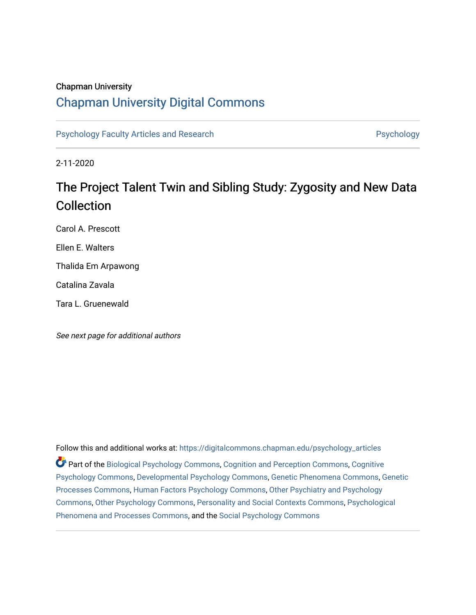# Chapman University

# [Chapman University Digital Commons](https://digitalcommons.chapman.edu/)

[Psychology Faculty Articles and Research](https://digitalcommons.chapman.edu/psychology_articles) **Psychology** Psychology

2-11-2020

# The Project Talent Twin and Sibling Study: Zygosity and New Data Collection

Carol A. Prescott

Ellen E. Walters

Thalida Em Arpawong

Catalina Zavala

Tara L. Gruenewald

See next page for additional authors

Follow this and additional works at: [https://digitalcommons.chapman.edu/psychology\\_articles](https://digitalcommons.chapman.edu/psychology_articles?utm_source=digitalcommons.chapman.edu%2Fpsychology_articles%2F212&utm_medium=PDF&utm_campaign=PDFCoverPages) Part of the [Biological Psychology Commons,](http://network.bepress.com/hgg/discipline/405?utm_source=digitalcommons.chapman.edu%2Fpsychology_articles%2F212&utm_medium=PDF&utm_campaign=PDFCoverPages) [Cognition and Perception Commons](http://network.bepress.com/hgg/discipline/407?utm_source=digitalcommons.chapman.edu%2Fpsychology_articles%2F212&utm_medium=PDF&utm_campaign=PDFCoverPages), [Cognitive](http://network.bepress.com/hgg/discipline/408?utm_source=digitalcommons.chapman.edu%2Fpsychology_articles%2F212&utm_medium=PDF&utm_campaign=PDFCoverPages) [Psychology Commons,](http://network.bepress.com/hgg/discipline/408?utm_source=digitalcommons.chapman.edu%2Fpsychology_articles%2F212&utm_medium=PDF&utm_campaign=PDFCoverPages) [Developmental Psychology Commons,](http://network.bepress.com/hgg/discipline/410?utm_source=digitalcommons.chapman.edu%2Fpsychology_articles%2F212&utm_medium=PDF&utm_campaign=PDFCoverPages) [Genetic Phenomena Commons](http://network.bepress.com/hgg/discipline/934?utm_source=digitalcommons.chapman.edu%2Fpsychology_articles%2F212&utm_medium=PDF&utm_campaign=PDFCoverPages), [Genetic](http://network.bepress.com/hgg/discipline/923?utm_source=digitalcommons.chapman.edu%2Fpsychology_articles%2F212&utm_medium=PDF&utm_campaign=PDFCoverPages)  [Processes Commons](http://network.bepress.com/hgg/discipline/923?utm_source=digitalcommons.chapman.edu%2Fpsychology_articles%2F212&utm_medium=PDF&utm_campaign=PDFCoverPages), [Human Factors Psychology Commons](http://network.bepress.com/hgg/discipline/1412?utm_source=digitalcommons.chapman.edu%2Fpsychology_articles%2F212&utm_medium=PDF&utm_campaign=PDFCoverPages), [Other Psychiatry and Psychology](http://network.bepress.com/hgg/discipline/992?utm_source=digitalcommons.chapman.edu%2Fpsychology_articles%2F212&utm_medium=PDF&utm_campaign=PDFCoverPages) [Commons](http://network.bepress.com/hgg/discipline/992?utm_source=digitalcommons.chapman.edu%2Fpsychology_articles%2F212&utm_medium=PDF&utm_campaign=PDFCoverPages), [Other Psychology Commons](http://network.bepress.com/hgg/discipline/415?utm_source=digitalcommons.chapman.edu%2Fpsychology_articles%2F212&utm_medium=PDF&utm_campaign=PDFCoverPages), [Personality and Social Contexts Commons](http://network.bepress.com/hgg/discipline/413?utm_source=digitalcommons.chapman.edu%2Fpsychology_articles%2F212&utm_medium=PDF&utm_campaign=PDFCoverPages), [Psychological](http://network.bepress.com/hgg/discipline/914?utm_source=digitalcommons.chapman.edu%2Fpsychology_articles%2F212&utm_medium=PDF&utm_campaign=PDFCoverPages)  [Phenomena and Processes Commons](http://network.bepress.com/hgg/discipline/914?utm_source=digitalcommons.chapman.edu%2Fpsychology_articles%2F212&utm_medium=PDF&utm_campaign=PDFCoverPages), and the [Social Psychology Commons](http://network.bepress.com/hgg/discipline/414?utm_source=digitalcommons.chapman.edu%2Fpsychology_articles%2F212&utm_medium=PDF&utm_campaign=PDFCoverPages)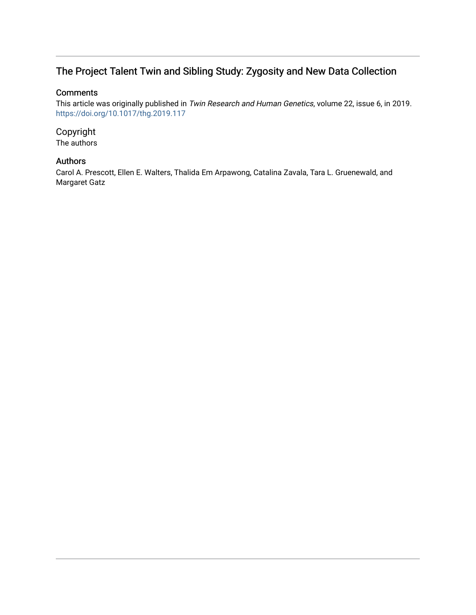# The Project Talent Twin and Sibling Study: Zygosity and New Data Collection

# **Comments**

This article was originally published in Twin Research and Human Genetics, volume 22, issue 6, in 2019. <https://doi.org/10.1017/thg.2019.117>

# Copyright

The authors

# Authors

Carol A. Prescott, Ellen E. Walters, Thalida Em Arpawong, Catalina Zavala, Tara L. Gruenewald, and Margaret Gatz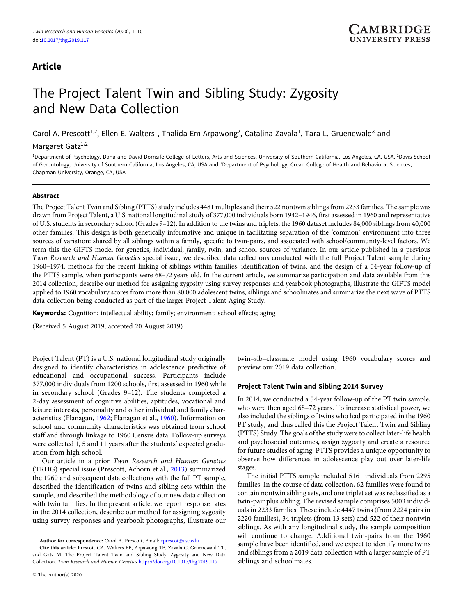# Article

# The Project Talent Twin and Sibling Study: Zygosity and New Data Collection

Carol A. Prescott<sup>1,2</sup>, Ellen E. Walters<sup>1</sup>, Thalida Em Arpawong<sup>2</sup>, Catalina Zavala<sup>1</sup>, Tara L. Gruenewald<sup>3</sup> and

# Margaret Gatz<sup>1,2</sup>

<sup>1</sup>Department of Psychology, Dana and David Dornsife College of Letters, Arts and Sciences, University of Southern California, Los Angeles, CA, USA, <sup>2</sup>Davis School of Gerontology, University of Southern California, Los Angeles, CA, USA and <sup>3</sup>Department of Psychology, Crean College of Health and Behavioral Sciences, Chapman University, Orange, CA, USA

## Abstract

The Project Talent Twin and Sibling (PTTS) study includes 4481 multiples and their 522 nontwin siblings from 2233 families. The sample was drawn from Project Talent, a U.S. national longitudinal study of 377,000 individuals born 1942–1946, first assessed in 1960 and representative of U.S. students in secondary school (Grades 9–12). In addition to the twins and triplets, the 1960 dataset includes 84,000 siblings from 40,000 other families. This design is both genetically informative and unique in facilitating separation of the 'common' environment into three sources of variation: shared by all siblings within a family, specific to twin-pairs, and associated with school/community-level factors. We term this the GIFTS model for genetics, individual, family, twin, and school sources of variance. In our article published in a previous Twin Research and Human Genetics special issue, we described data collections conducted with the full Project Talent sample during 1960–1974, methods for the recent linking of siblings within families, identification of twins, and the design of a 54-year follow-up of the PTTS sample, when participants were 68–72 years old. In the current article, we summarize participation and data available from this 2014 collection, describe our method for assigning zygosity using survey responses and yearbook photographs, illustrate the GIFTS model applied to 1960 vocabulary scores from more than 80,000 adolescent twins, siblings and schoolmates and summarize the next wave of PTTS data collection being conducted as part of the larger Project Talent Aging Study.

Keywords: Cognition; intellectual ability; family; environment; school effects; aging

(Received 5 August 2019; accepted 20 August 2019)

Project Talent (PT) is a U.S. national longitudinal study originally designed to identify characteristics in adolescence predictive of educational and occupational success. Participants include 377,000 individuals from 1200 schools, first assessed in 1960 while in secondary school (Grades 9–12). The students completed a 2-day assessment of cognitive abilities, aptitudes, vocational and leisure interests, personality and other individual and family characteristics (Flanagan, [1962](#page-10-0); Flanagan et al., [1960](#page-10-0)). Information on school and community characteristics was obtained from school staff and through linkage to 1960 Census data. Follow-up surveys were collected 1, 5 and 11 years after the students' expected graduation from high school.

Our article in a prior Twin Research and Human Genetics (TRHG) special issue (Prescott, Achorn et al., [2013](#page-11-0)) summarized the 1960 and subsequent data collections with the full PT sample, described the identification of twins and sibling sets within the sample, and described the methodology of our new data collection with twin families. In the present article, we report response rates in the 2014 collection, describe our method for assigning zygosity using survey responses and yearbook photographs, illustrate our

Author for correspondence: Carol A. Prescott, Email: [cprescot@usc.edu](mailto:cprescot@usc.edu)

Cite this article: Prescott CA, Walters EE, Arpawong TE, Zavala C, Gruenewald TL, and Gatz M. The Project Talent Twin and Sibling Study: Zygosity and New Data Collection. Twin Research and Human Genetics <https://doi.org/10.1017/thg.2019.117>

twin–sib–classmate model using 1960 vocabulary scores and preview our 2019 data collection.

# Project Talent Twin and Sibling 2014 Survey

In 2014, we conducted a 54-year follow-up of the PT twin sample, who were then aged 68–72 years. To increase statistical power, we also included the siblings of twins who had participated in the 1960 PT study, and thus called this the Project Talent Twin and Sibling (PTTS) Study. The goals of the study were to collect later-life health and psychosocial outcomes, assign zygosity and create a resource for future studies of aging. PTTS provides a unique opportunity to observe how differences in adolescence play out over later-life stages.

The initial PTTS sample included 5161 individuals from 2295 families. In the course of data collection, 62 families were found to contain nontwin sibling sets, and one triplet set was reclassified as a twin-pair plus sibling. The revised sample comprises 5003 individuals in 2233 families. These include 4447 twins (from 2224 pairs in 2220 families), 34 triplets (from 13 sets) and 522 of their nontwin siblings. As with any longitudinal study, the sample composition will continue to change. Additional twin-pairs from the 1960 sample have been identified, and we expect to identify more twins and siblings from a 2019 data collection with a larger sample of PT siblings and schoolmates.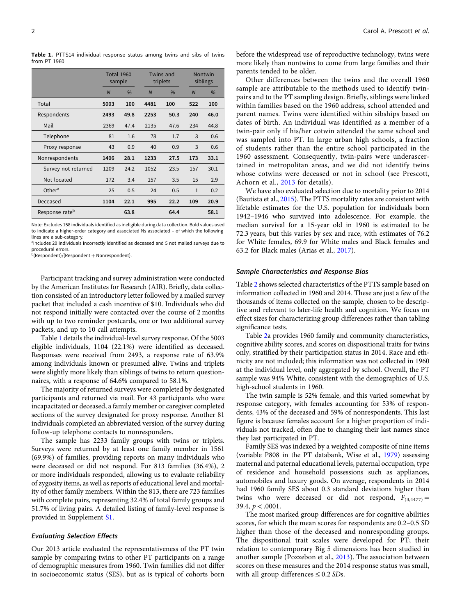Table 1. PTTS14 individual response status among twins and sibs of twins from PT 1960

|                            | <b>Total 1960</b><br>sample |      |                | Twins and<br>triplets |                | Nontwin<br>siblings |  |
|----------------------------|-----------------------------|------|----------------|-----------------------|----------------|---------------------|--|
|                            | $\overline{N}$              | %    | $\overline{N}$ | %                     | $\overline{N}$ | %                   |  |
| Total                      | 5003                        | 100  | 4481           | 100                   | 522            | 100                 |  |
| Respondents                | 2493                        | 49.8 | 2253           | 50.3                  | 240            | 46.0                |  |
| Mail                       | 2369                        | 47.4 | 2135           | 47.6                  | 234            | 44.8                |  |
| Telephone                  | 81                          | 1.6  | 78             | 1.7                   | 3              | 0.6                 |  |
| Proxy response             | 43                          | 0.9  | 40             | 0.9                   | 3              | 0.6                 |  |
| Nonrespondents             | 1406                        | 28.1 | 1233           | 27.5                  | 173            | 33.1                |  |
| Survey not returned        | 1209                        | 24.2 | 1052           | 23.5                  | 157            | 30.1                |  |
| Not located                | 172                         | 3.4  | 157            | 3.5                   | 15             | 2.9                 |  |
| Other <sup>a</sup>         | 25                          | 0.5  | 24             | 0.5                   | $\mathbf{1}$   | 0.2                 |  |
| Deceased                   | 1104                        | 22.1 | 995            | 22.2                  | 109            | 20.9                |  |
| Response rate <sup>b</sup> |                             | 63.8 |                | 64.4                  |                | 58.1                |  |

Note: Excludes 158 individuals identified as ineligible during data collection. Bold values used to indicate a higher-order category and associated Ns associated - of which the following lines are a sub-category.

alncludes 20 individuals incorrectly identified as deceased and 5 not mailed surveys due to procedural errors.

 $b$ (Respondent)/(Respondent + Nonrespondent).

Participant tracking and survey administration were conducted by the American Institutes for Research (AIR). Briefly, data collection consisted of an introductory letter followed by a mailed survey packet that included a cash incentive of \$10. Individuals who did not respond initially were contacted over the course of 2 months with up to two reminder postcards, one or two additional survey packets, and up to 10 call attempts.

Table 1 details the individual-level survey response. Of the 5003 eligible individuals, 1104 (22.1%) were identified as deceased. Responses were received from 2493, a response rate of 63.9% among individuals known or presumed alive. Twins and triplets were slightly more likely than siblings of twins to return questionnaires, with a response of 64.6% compared to 58.1%.

The majority of returned surveys were completed by designated participants and returned via mail. For 43 participants who were incapacitated or deceased, a family member or caregiver completed sections of the survey designated for proxy response. Another 81 individuals completed an abbreviated version of the survey during follow-up telephone contacts to nonresponders.

The sample has 2233 family groups with twins or triplets. Surveys were returned by at least one family member in 1561 (69.9%) of families, providing reports on many individuals who were deceased or did not respond. For 813 families (36.4%), 2 or more individuals responded, allowing us to evaluate reliability of zygosity items, as well as reports of educational level and mortality of other family members. Within the 813, there are 723 families with complete pairs, representing 32.4% of total family groups and 51.7% of living pairs. A detailed listing of family-level response is provided in Supplement [S1.](https://doi.org/10.1017/thg.2019.117)

## Evaluating Selection Effects

Our 2013 article evaluated the representativeness of the PT twin sample by comparing twins to other PT participants on a range of demographic measures from 1960. Twin families did not differ in socioeconomic status (SES), but as is typical of cohorts born before the widespread use of reproductive technology, twins were more likely than nontwins to come from large families and their parents tended to be older.

Other differences between the twins and the overall 1960 sample are attributable to the methods used to identify twinpairs and to the PT sampling design. Briefly, siblings were linked within families based on the 1960 address, school attended and parent names. Twins were identified within sibships based on dates of birth. An individual was identified as a member of a twin-pair only if his/her cotwin attended the same school and was sampled into PT. In large urban high schools, a fraction of students rather than the entire school participated in the 1960 assessment. Consequently, twin-pairs were underascertained in metropolitan areas, and we did not identify twins whose cotwins were deceased or not in school (see Prescott, Achorn et al., [2013](#page-11-0) for details).

We have also evaluated selection due to mortality prior to 2014 (Bautista et al., [2015\)](#page-10-0). The PTTS mortality rates are consistent with lifetable estimates for the U.S. population for individuals born 1942–1946 who survived into adolescence. For example, the median survival for a 15-year old in 1960 is estimated to be 72.3 years, but this varies by sex and race, with estimates of 76.2 for White females, 69.9 for White males and Black females and 63.2 for Black males (Arias et al., [2017\)](#page-10-0).

## Sample Characteristics and Response Bias

Table [2](#page-4-0) shows selected characteristics of the PTTS sample based on information collected in 1960 and 2014. These are just a few of the thousands of items collected on the sample, chosen to be descriptive and relevant to later-life health and cognition. We focus on effect sizes for characterizing group differences rather than tabling significance tests.

Table [2a](#page-4-0) provides 1960 family and community characteristics, cognitive ability scores, and scores on dispositional traits for twins only, stratified by their participation status in 2014. Race and ethnicity are not included; this information was not collected in 1960 at the individual level, only aggregated by school. Overall, the PT sample was 94% White, consistent with the demographics of U.S. high-school students in 1960.

The twin sample is 52% female, and this varied somewhat by response category, with females accounting for 53% of respondents, 43% of the deceased and 59% of nonrespondents. This last figure is because females account for a higher proportion of individuals not tracked, often due to changing their last names since they last participated in PT.

Family SES was indexed by a weighted composite of nine items (variable P808 in the PT databank, Wise et al., [1979\)](#page-11-0) assessing maternal and paternal educational levels, paternal occupation, type of residence and household possessions such as appliances, automobiles and luxury goods. On average, respondents in 2014 had 1960 family SES about 0.3 standard deviations higher than twins who were deceased or did not respond,  $F_{(3,4477)} =$ 39.4,  $p < .0001$ .

The most marked group differences are for cognitive abilities scores, for which the mean scores for respondents are 0.2–0.5 SD higher than those of the deceased and nonresponding groups. The dispositional trait scales were developed for PT; their relation to contemporary Big 5 dimensions has been studied in another sample (Pozzebon et al., [2013](#page-11-0)). The association between scores on these measures and the 2014 response status was small, with all group differences  $\leq 0.2$  SDs.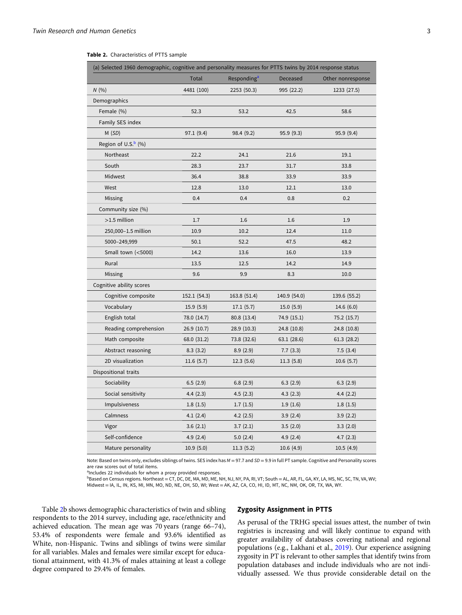#### <span id="page-4-0"></span>Table 2. Characteristics of PTTS sample

|                          | (a) Selected 1960 demographic, cognitive and personality measures for PTTS twins by 2014 response status |                         |              |                   |  |
|--------------------------|----------------------------------------------------------------------------------------------------------|-------------------------|--------------|-------------------|--|
|                          | Total                                                                                                    | Responding <sup>a</sup> | Deceased     | Other nonresponse |  |
| N(%)                     | 4481 (100)                                                                                               | 2253 (50.3)             | 995 (22.2)   | 1233 (27.5)       |  |
| Demographics             |                                                                                                          |                         |              |                   |  |
| Female (%)               | 52.3                                                                                                     | 53.2                    | 42.5         | 58.6              |  |
| Family SES index         |                                                                                                          |                         |              |                   |  |
| M(SD)                    | 97.1(9.4)                                                                                                | 98.4 (9.2)              | 95.9 (9.3)   | 95.9(9.4)         |  |
| Region of U.S. $b$ (%)   |                                                                                                          |                         |              |                   |  |
| Northeast                | 22.2                                                                                                     | 24.1                    | 21.6         | 19.1              |  |
| South                    | 28.3                                                                                                     | 23.7                    | 31.7         | 33.8              |  |
| Midwest                  | 36.4                                                                                                     | 38.8                    | 33.9         | 33.9              |  |
| West                     | 12.8                                                                                                     | 13.0                    | 12.1         | 13.0              |  |
| Missing                  | 0.4                                                                                                      | 0.4                     | 0.8          | 0.2               |  |
| Community size (%)       |                                                                                                          |                         |              |                   |  |
| $>1.5$ million           | 1.7                                                                                                      | 1.6                     | 1.6          | 1.9               |  |
| 250,000-1.5 million      | 10.9                                                                                                     | 10.2                    | 12.4         | 11.0              |  |
| 5000-249,999             | 50.1                                                                                                     | 52.2                    | 47.5         | 48.2              |  |
| Small town (<5000)       | 14.2                                                                                                     | 13.6                    | 16.0         | 13.9              |  |
| Rural                    | 13.5                                                                                                     | 12.5                    | 14.2         | 14.9              |  |
| Missing                  | 9.6                                                                                                      | 9.9                     | 8.3          | 10.0              |  |
| Cognitive ability scores |                                                                                                          |                         |              |                   |  |
| Cognitive composite      | 152.1 (54.3)                                                                                             | 163.8 (51.4)            | 140.9 (54.0) | 139.6 (55.2)      |  |
| Vocabulary               | 15.9(5.9)                                                                                                | 17.1(5.7)               | 15.0(5.9)    | 14.6(6.0)         |  |
| English total            | 78.0 (14.7)                                                                                              | 80.8 (13.4)             | 74.9 (15.1)  | 75.2 (15.7)       |  |
| Reading comprehension    | 26.9(10.7)                                                                                               | 28.9 (10.3)             | 24.8 (10.8)  | 24.8 (10.8)       |  |
| Math composite           | 68.0 (31.2)                                                                                              | 73.8 (32.6)             | 63.1(28.6)   | 61.3(28.2)        |  |
| Abstract reasoning       | 8.3(3.2)                                                                                                 | 8.9(2.9)                | 7.7(3.3)     | 7.5(3.4)          |  |
| 2D visualization         | 11.6(5.7)                                                                                                | 12.3(5.6)               | 11.3(5.8)    | 10.6(5.7)         |  |
| Dispositional traits     |                                                                                                          |                         |              |                   |  |
| Sociability              | 6.5(2.9)                                                                                                 | 6.8(2.9)                | 6.3(2.9)     | 6.3(2.9)          |  |
| Social sensitivity       | 4.4(2.3)                                                                                                 | 4.5(2.3)                | 4.3(2.3)     | 4.4(2.2)          |  |
| Impulsiveness            | 1.8(1.5)                                                                                                 | 1.7(1.5)                | 1.9(1.6)     | 1.8(1.5)          |  |
| Calmness                 | 4.1(2.4)                                                                                                 | 4.2(2.5)                | 3.9(2.4)     | 3.9(2.2)          |  |
| Vigor                    | 3.6(2.1)                                                                                                 | 3.7(2.1)                | 3.5(2.0)     | 3.3(2.0)          |  |
| Self-confidence          | 4.9(2.4)                                                                                                 | 5.0(2.4)                | 4.9(2.4)     | 4.7(2.3)          |  |
| Mature personality       | 10.9(5.0)                                                                                                | 11.3(5.2)               | 10.6(4.9)    | 10.5(4.9)         |  |

Note: Based on twins only, excludes siblings of twins. SES index has  $M = 97.7$  and SD = 9.9 in full PT sample. Cognitive and Personality scores are raw scores out of total items.

<sup>a</sup>Includes 22 individuals for whom a proxy provided responses.

<sup>b</sup>Based on Census regions. Northeast = CT, DC, DE, MA, MD, ME, NH, NJ, NY, PA, RI, VT; South = AL, AR, FL, GA, KY, LA, MS, NC, SC, TN, VA, WV; Midwest = IA, IL, IN, KS, MI, MN, MO, ND, NE, OH, SD, WI; West = AK, AZ, CA, CO, HI, ID, MT, NC, NM, OK, OR, TX, WA, WY.

Table [2b](#page-5-0) shows demographic characteristics of twin and sibling respondents to the 2014 survey, including age, race/ethnicity and achieved education. The mean age was 70 years (range 66–74), 53.4% of respondents were female and 93.6% identified as White, non-Hispanic. Twins and siblings of twins were similar for all variables. Males and females were similar except for educational attainment, with 41.3% of males attaining at least a college degree compared to 29.4% of females.

## Zygosity Assignment in PTTS

As perusal of the TRHG special issues attest, the number of twin registries is increasing and will likely continue to expand with greater availability of databases covering national and regional populations (e.g., Lakhani et al., [2019\)](#page-10-0). Our experience assigning zygosity in PT is relevant to other samples that identify twins from population databases and include individuals who are not individually assessed. We thus provide considerable detail on the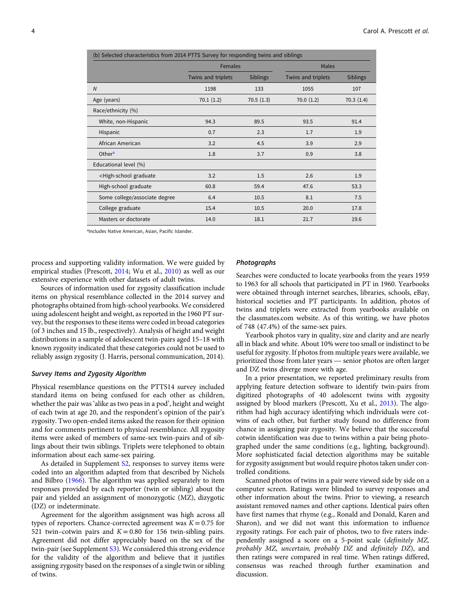<span id="page-5-0"></span>

|                                                                                                | (b) Selected characteristics from 2014 PTTS Survey for responding twins and siblings |           |                    |                 |  |  |
|------------------------------------------------------------------------------------------------|--------------------------------------------------------------------------------------|-----------|--------------------|-----------------|--|--|
|                                                                                                | <b>Females</b>                                                                       |           | Males              |                 |  |  |
|                                                                                                | Twins and triplets                                                                   | Siblings  | Twins and triplets | <b>Siblings</b> |  |  |
| $\overline{N}$                                                                                 | 1198                                                                                 | 133       | 1055               | 107             |  |  |
| Age (years)                                                                                    | 70.1(1.2)                                                                            | 70.5(1.3) | 70.0(1.2)          | 70.3(1.4)       |  |  |
| Race/ethnicity (%)                                                                             |                                                                                      |           |                    |                 |  |  |
| White, non-Hispanic                                                                            | 94.3                                                                                 | 89.5      | 93.5               | 91.4            |  |  |
| Hispanic                                                                                       | 0.7                                                                                  | 2.3       | 1.7                | 1.9             |  |  |
| African American                                                                               | 3.2                                                                                  | 4.5       | 3.9                | 2.9             |  |  |
| Other <sup>a</sup>                                                                             | 1.8                                                                                  | 3.7       | 0.9                | 3.8             |  |  |
| Educational level (%)                                                                          |                                                                                      |           |                    |                 |  |  |
| <high-school graduate<="" td=""><td>3.2</td><td>1.5</td><td>2.6</td><td>1.9</td></high-school> | 3.2                                                                                  | 1.5       | 2.6                | 1.9             |  |  |
| High-school graduate                                                                           | 60.8                                                                                 | 59.4      | 47.6               | 53.3            |  |  |
| Some college/associate degree                                                                  | 6.4                                                                                  | 10.5      | 8.1                | 7.5             |  |  |
| College graduate                                                                               | 15.4                                                                                 | 10.5      | 20.0               | 17.8            |  |  |
| Masters or doctorate                                                                           | 14.0                                                                                 | 18.1      | 21.7               | 19.6            |  |  |

<sup>a</sup>Includes Native American, Asian, Pacific Islander.

process and supporting validity information. We were guided by empirical studies (Prescott, [2014;](#page-11-0) Wu et al., [2010](#page-11-0)) as well as our extensive experience with other datasets of adult twins.

Sources of information used for zygosity classification include items on physical resemblance collected in the 2014 survey and photographs obtained from high-school yearbooks. We considered using adolescent height and weight, as reported in the 1960 PT survey, but the responses to these items were coded in broad categories (of 3 inches and 15 lb., respectively). Analysis of height and weight distributions in a sample of adolescent twin-pairs aged 15–18 with known zygosity indicated that these categories could not be used to reliably assign zygosity (J. Harris, personal communication, 2014).

## Survey Items and Zygosity Algorithm

Physical resemblance questions on the PTTS14 survey included standard items on being confused for each other as children, whether the pair was 'alike as two peas in a pod', height and weight of each twin at age 20, and the respondent's opinion of the pair's zygosity. Two open-ended items asked the reason for their opinion and for comments pertinent to physical resemblance. All zygosity items were asked of members of same-sex twin-pairs and of siblings about their twin siblings. Triplets were telephoned to obtain information about each same-sex pairing.

As detailed in Supplement [S2,](https://doi.org/10.1017/thg.2019.117) responses to survey items were coded into an algorithm adapted from that described by Nichols and Bilbro ([1966\)](#page-11-0). The algorithm was applied separately to item responses provided by each reporter (twin or sibling) about the pair and yielded an assignment of monozygotic (MZ), dizygotic (DZ) or indeterminate.

Agreement for the algorithm assignment was high across all types of reporters. Chance-corrected agreement was  $K = 0.75$  for 521 twin–cotwin pairs and  $K = 0.80$  for 156 twin-sibling pairs. Agreement did not differ appreciably based on the sex of the twin-pair (see Supplement [S3](https://doi.org/10.1017/thg.2019.117)). We considered this strong evidence for the validity of the algorithm and believe that it justifies assigning zygosity based on the responses of a single twin or sibling of twins.

#### Photographs

Searches were conducted to locate yearbooks from the years 1959 to 1963 for all schools that participated in PT in 1960. Yearbooks were obtained through internet searches, libraries, schools, eBay, historical societies and PT participants. In addition, photos of twins and triplets were extracted from yearbooks available on the classmates.com website. As of this writing, we have photos of 748 (47.4%) of the same-sex pairs.

Yearbook photos vary in quality, size and clarity and are nearly all in black and white. About 10% were too small or indistinct to be useful for zygosity. If photos from multiple years were available, we of 748 (47.4%) of the same-sex pairs.<br>
Yearbook photos vary in quality, size and clarity and are nearly<br>
all in black and white. About 10% were too small or indistinct to be<br>
useful for zygosity. If photos from multiple ye and DZ twins diverge more with age.

In a prior presentation, we reported preliminary results from applying feature detection software to identify twin-pairs from digitized photographs of 40 adolescent twins with zygosity assigned by blood markers (Prescott, Xu et al., [2013\)](#page-11-0). The algorithm had high accuracy identifying which individuals were cotwins of each other, but further study found no difference from chance in assigning pair zygosity. We believe that the successful cotwin identification was due to twins within a pair being photographed under the same conditions (e.g., lighting, background). More sophisticated facial detection algorithms may be suitable for zygosity assignment but would require photos taken under controlled conditions.

Scanned photos of twins in a pair were viewed side by side on a computer screen. Ratings were blinded to survey responses and other information about the twins. Prior to viewing, a research assistant removed names and other captions. Identical pairs often have first names that rhyme (e.g., Ronald and Donald, Karen and Sharon), and we did not want this information to influence zygosity ratings. For each pair of photos, two to five raters independently assigned a score on a 5-point scale (definitely MZ, probably MZ, uncertain, probably DZ and definitely DZ), and then ratings were compared in real time. When ratings differed, consensus was reached through further examination and discussion.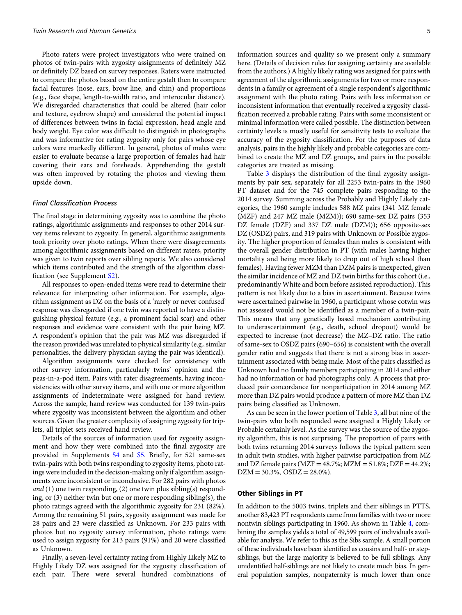Photo raters were project investigators who were trained on photos of twin-pairs with zygosity assignments of definitely MZ or definitely DZ based on survey responses. Raters were instructed to compare the photos based on the entire gestalt then to compare facial features (nose, ears, brow line, and chin) and proportions (e.g., face shape, length-to-width ratio, and interocular distance). We disregarded characteristics that could be altered (hair color and texture, eyebrow shape) and considered the potential impact of differences between twins in facial expression, head angle and body weight. Eye color was difficult to distinguish in photographs and was informative for rating zygosity only for pairs whose eye colors were markedly different. In general, photos of males were easier to evaluate because a large proportion of females had hair covering their ears and foreheads. Apprehending the gestalt was often improved by rotating the photos and viewing them upside down.

### Final Classification Process

The final stage in determining zygosity was to combine the photo ratings, algorithmic assignments and responses to other 2014 survey items relevant to zygosity. In general, algorithmic assignments took priority over photo ratings. When there were disagreements among algorithmic assignments based on different raters, priority was given to twin reports over sibling reports. We also considered which items contributed and the strength of the algorithm classification (see Supplement [S2](https://doi.org/10.1017/thg.2019.117)).

All responses to open-ended items were read to determine their relevance for interpreting other information. For example, algorithm assignment as DZ on the basis of a 'rarely or never confused' response was disregarded if one twin was reported to have a distinguishing physical feature (e.g., a prominent facial scar) and other responses and evidence were consistent with the pair being MZ. A respondent's opinion that the pair was MZ was disregarded if the reason provided was unrelated to physical similarity (e.g., similar personalities, the delivery physician saying the pair was identical).

Algorithm assignments were checked for consistency with other survey information, particularly twins' opinion and the peas-in-a-pod item. Pairs with rater disagreements, having inconsistencies with other survey items, and with one or more algorithm assignments of Indeterminate were assigned for hand review. Across the sample, hand review was conducted for 139 twin-pairs where zygosity was inconsistent between the algorithm and other sources. Given the greater complexity of assigning zygosity for triplets, all triplet sets received hand review.

Details of the sources of information used for zygosity assignment and how they were combined into the final zygosity are provided in Supplements [S4](https://doi.org/10.1017/thg.2019.117) and [S5.](https://doi.org/10.1017/thg.2019.117) Briefly, for 521 same-sex twin-pairs with both twins responding to zygosity items, photo ratings were included in the decision-making only if algorithm assignments were inconsistent or inconclusive. For 282 pairs with photos and (1) one twin responding, (2) one twin plus sibling(s) responding, or (3) neither twin but one or more responding sibling(s), the photo ratings agreed with the algorithmic zygosity for 231 (82%). Among the remaining 51 pairs, zygosity assignment was made for 28 pairs and 23 were classified as Unknown. For 233 pairs with photos but no zygosity survey information, photo ratings were used to assign zygosity for 213 pairs (91%) and 20 were classified as Unknown.

Finally, a seven-level certainty rating from Highly Likely MZ to Highly Likely DZ was assigned for the zygosity classification of each pair. There were several hundred combinations of information sources and quality so we present only a summary here. (Details of decision rules for assigning certainty are available from the authors.) A highly likely rating was assigned for pairs with agreement of the algorithmic assignments for two or more respondents in a family or agreement of a single respondent's algorithmic assignment with the photo rating. Pairs with less information or inconsistent information that eventually received a zygosity classification received a probable rating. Pairs with some inconsistent or minimal information were called possible. The distinction between certainty levels is mostly useful for sensitivity tests to evaluate the accuracy of the zygosity classification. For the purposes of data analysis, pairs in the highly likely and probable categories are combined to create the MZ and DZ groups, and pairs in the possible categories are treated as missing.

Table [3](#page-7-0) displays the distribution of the final zygosity assignments by pair sex, separately for all 2253 twin-pairs in the 1960 PT dataset and for the 745 complete pairs responding to the 2014 survey. Summing across the Probably and Highly Likely categories, the 1960 sample includes 588 MZ pairs (341 MZ female (MZF) and 247 MZ male (MZM)); 690 same-sex DZ pairs (353 DZ female (DZF) and 337 DZ male (DZM)); 656 opposite-sex DZ (OSDZ) pairs, and 319 pairs with Unknown or Possible zygosity. The higher proportion of females than males is consistent with the overall gender distribution in PT (with males having higher mortality and being more likely to drop out of high school than females). Having fewer MZM than DZM pairs is unexpected, given the similar incidence of MZ and DZ twin births for this cohort (i.e., predominantly White and born before assisted reproduction). This pattern is not likely due to a bias in ascertainment. Because twins were ascertained pairwise in 1960, a participant whose cotwin was not assessed would not be identified as a member of a twin-pair. This means that any genetically based mechanism contributing to underascertainment (e.g., death, school dropout) would be expected to increase (not decrease) the MZ–DZ ratio. The ratio of same-sex to OSDZ pairs (690–656) is consistent with the overall gender ratio and suggests that there is not a strong bias in ascertainment associated with being male. Most of the pairs classified as Unknown had no family members participating in 2014 and either had no information or had photographs only. A process that produced pair concordance for nonparticipation in 2014 among MZ more than DZ pairs would produce a pattern of more MZ than DZ pairs being classified as Unknown.

As can be seen in the lower portion of Table [3](#page-7-0), all but nine of the twin-pairs who both responded were assigned a Highly Likely or Probable certainly level. As the survey was the source of the zygosity algorithm, this is not surprising. The proportion of pairs with both twins returning 2014 surveys follows the typical pattern seen in adult twin studies, with higher pairwise participation from MZ and DZ female pairs (MZF = 48.7%; MZM = 51.8%; DZF = 44.2%;  $DZM = 30.3\%$ ,  $OSDZ = 28.0\%$ ).

#### Other Siblings in PT

In addition to the 5003 twins, triplets and their siblings in PTTS, another 83,423 PT respondents came from families with two or more nontwin siblings participating in 1960. As shown in Table [4,](#page-7-0) combining the samples yields a total of 49,599 pairs of individuals available for analysis. We refer to this as the Sibs sample. A small portion of these individuals have been identified as cousins and half- or stepsiblings, but the large majority is believed to be full siblings. Any unidentified half-siblings are not likely to create much bias. In general population samples, nonpaternity is much lower than once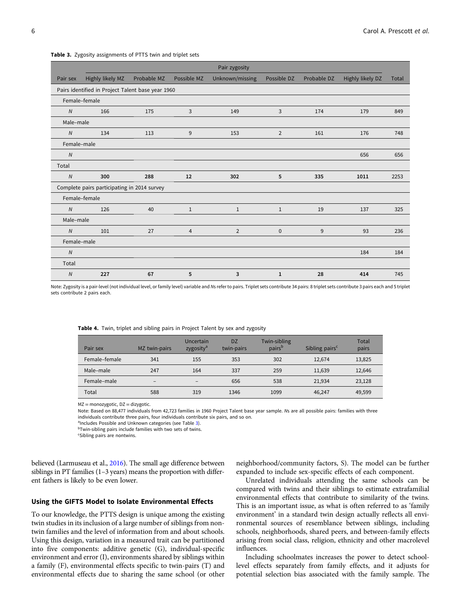<span id="page-7-0"></span>Table 3. Zygosity assignments of PTTS twin and triplet sets

|                                                   | Pair zygosity    |             |                |                 |                |             |                  |       |
|---------------------------------------------------|------------------|-------------|----------------|-----------------|----------------|-------------|------------------|-------|
| Pair sex                                          | Highly likely MZ | Probable MZ | Possible MZ    | Unknown/missing | Possible DZ    | Probable DZ | Highly likely DZ | Total |
| Pairs identified in Project Talent base year 1960 |                  |             |                |                 |                |             |                  |       |
|                                                   | Female-female    |             |                |                 |                |             |                  |       |
| $\boldsymbol{N}$                                  | 166              | 175         | 3              | 149             | 3              | 174         | 179              | 849   |
| Male-male                                         |                  |             |                |                 |                |             |                  |       |
| $\overline{N}$                                    | 134              | 113         | 9              | 153             | $\overline{2}$ | 161         | 176              | 748   |
| Female-male                                       |                  |             |                |                 |                |             |                  |       |
| $\overline{N}$                                    |                  |             |                |                 |                |             | 656              | 656   |
| Total                                             |                  |             |                |                 |                |             |                  |       |
| ${\cal N}$                                        | 300              | 288         | 12             | 302             | 5              | 335         | 1011             | 2253  |
| Complete pairs participating in 2014 survey       |                  |             |                |                 |                |             |                  |       |
|                                                   | Female-female    |             |                |                 |                |             |                  |       |
| $\overline{N}$                                    | 126              | 40          | $\mathbf{1}$   | $\mathbf{1}$    | $\mathbf{1}$   | 19          | 137              | 325   |
| Male-male                                         |                  |             |                |                 |                |             |                  |       |
| $\overline{N}$                                    | 101              | 27          | $\overline{4}$ | $\overline{2}$  | $\mathbf 0$    | 9           | 93               | 236   |
| Female-male                                       |                  |             |                |                 |                |             |                  |       |
| $\boldsymbol{N}$                                  |                  |             |                |                 |                |             | 184              | 184   |
| Total                                             |                  |             |                |                 |                |             |                  |       |
| ${\cal N}$                                        | 227              | 67          | 5              | $\overline{3}$  | $\mathbf{1}$   | 28          | 414              | 745   |

Note: Zygosity is a pair-level (not individual level, or family level) variable and Ns refer to pairs. Triplet sets contribute 34 pairs: 8 triplet sets contribute 3 pairs each and 5 triplet sets contribute 2 pairs each.

| Pair sex      | MZ twin-pairs | Uncertain<br>zygosity <sup>a</sup> | DZ<br>twin-pairs | Twin-sibling<br>pairsb | Sibling pairs <sup>c</sup> | Total<br>pairs |
|---------------|---------------|------------------------------------|------------------|------------------------|----------------------------|----------------|
| Female-female | 341           | 155                                | 353              | 302                    | 12,674                     | 13,825         |
| Male-male     | 247           | 164                                | 337              | 259                    | 11,639                     | 12,646         |
| Female-male   | -             | -                                  | 656              | 538                    | 21.934                     | 23,128         |
| Total         | 588           | 319                                | 1346             | 1099                   | 46,247                     | 49,599         |

Table 4. Twin, triplet and sibling pairs in Project Talent by sex and zygosity

 $MZ = monozygotic, DZ = dizygotic.$ 

Note: Based on 88,477 individuals from 42,723 families in 1960 Project Talent base year sample. Ns are all possible pairs: families with three individuals contribute three pairs, four individuals contribute six pairs, and so on.

aIncludes Possible and Unknown categories (see Table 3).

bTwin-sibling pairs include families with two sets of twins.

c Sibling pairs are nontwins.

believed (Larmuseau et al., [2016\)](#page-10-0). The small age difference between siblings in PT families (1–3 years) means the proportion with different fathers is likely to be even lower.

## Using the GIFTS Model to Isolate Environmental Effects

To our knowledge, the PTTS design is unique among the existing twin studies in its inclusion of a large number of siblings from nontwin families and the level of information from and about schools. Using this design, variation in a measured trait can be partitioned into five components: additive genetic (G), individual-specific environment and error (I), environments shared by siblings within a family (F), environmental effects specific to twin-pairs (T) and environmental effects due to sharing the same school (or other

neighborhood/community factors, S). The model can be further expanded to include sex-specific effects of each component.

Unrelated individuals attending the same schools can be compared with twins and their siblings to estimate extrafamilial environmental effects that contribute to similarity of the twins. This is an important issue, as what is often referred to as 'family environment' in a standard twin design actually reflects all environmental sources of resemblance between siblings, including schools, neighborhoods, shared peers, and between-family effects arising from social class, religion, ethnicity and other macrolevel influences.

Including schoolmates increases the power to detect schoollevel effects separately from family effects, and it adjusts for potential selection bias associated with the family sample. The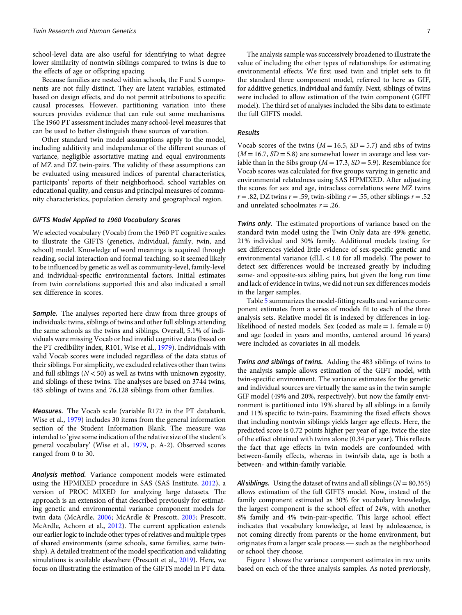school-level data are also useful for identifying to what degree lower similarity of nontwin siblings compared to twins is due to the effects of age or offspring spacing.

Because families are nested within schools, the F and S components are not fully distinct. They are latent variables, estimated based on design effects, and do not permit attributions to specific causal processes. However, partitioning variation into these sources provides evidence that can rule out some mechanisms. The 1960 PT assessment includes many school-level measures that can be used to better distinguish these sources of variation.

Other standard twin model assumptions apply to the model, including additivity and independence of the different sources of variance, negligible assortative mating and equal environments of MZ and DZ twin-pairs. The validity of these assumptions can be evaluated using measured indices of parental characteristics, participants' reports of their neighborhood, school variables on educational quality, and census and principal measures of community characteristics, population density and geographical region.

## GIFTS Model Applied to 1960 Vocabulary Scores

We selected vocabulary (Vocab) from the 1960 PT cognitive scales to illustrate the GIFTS (genetics, individual, family, twin, and school) model. Knowledge of word meanings is acquired through reading, social interaction and formal teaching, so it seemed likely to be influenced by genetic as well as community-level, family-level and individual-specific environmental factors. Initial estimates from twin correlations supported this and also indicated a small sex difference in scores.

Sample. The analyses reported here draw from three groups of individuals: twins, siblings of twins and other full siblings attending the same schools as the twins and siblings. Overall, 5.1% of individuals were missing Vocab or had invalid cognitive data (based on the PT credibility index, R101, Wise et al., [1979\)](#page-11-0). Individuals with valid Vocab scores were included regardless of the data status of their siblings. For simplicity, we excluded relatives other than twins and full siblings ( $N < 50$ ) as well as twins with unknown zygosity, and siblings of these twins. The analyses are based on 3744 twins, 483 siblings of twins and 76,128 siblings from other families.

Measures. The Vocab scale (variable R172 in the PT databank, Wise et al., [1979\)](#page-11-0) includes 30 items from the general information section of the Student Information Blank. The measure was intended to 'give some indication of the relative size of the student's general vocabulary' (Wise et al., [1979,](#page-11-0) p. A-2). Observed scores ranged from 0 to 30.

Analysis method. Variance component models were estimated using the HPMIXED procedure in SAS (SAS Institute, [2012\)](#page-11-0), a version of PROC MIXED for analyzing large datasets. The approach is an extension of that described previously for estimating genetic and environmental variance component models for twin data (McArdle, [2006;](#page-10-0) McArdle & Prescott, [2005](#page-10-0); Prescott, McArdle, Achorn et al., [2012](#page-11-0)). The current application extends our earlier logic to include other types of relatives and multiple types of shared environments (same schools, same families, same twinship). A detailed treatment of the model specification and validating simulations is available elsewhere (Prescott et al., [2019\)](#page-11-0). Here, we focus on illustrating the estimation of the GIFTS model in PT data.

The analysis sample was successively broadened to illustrate the value of including the other types of relationships for estimating environmental effects. We first used twin and triplet sets to fit the standard three component model, referred to here as GIF, for additive genetics, individual and family. Next, siblings of twins were included to allow estimation of the twin component (GIFT model). The third set of analyses included the Sibs data to estimate the full GIFTS model.

### Results

Vocab scores of the twins  $(M = 16.5, SD = 5.7)$  and sibs of twins  $(M = 16.7, SD = 5.8)$  are somewhat lower in average and less variable than in the Sibs group ( $M = 17.3$ ,  $SD = 5.9$ ). Resemblance for Vocab scores was calculated for five groups varying in genetic and environmental relatedness using SAS HPMIXED. After adjusting the scores for sex and age, intraclass correlations were MZ twins  $r = .82$ , DZ twins  $r = .59$ , twin-sibling  $r = .55$ , other siblings  $r = .52$ and unrelated schoolmates  $r = .26$ .

Twins only. The estimated proportions of variance based on the standard twin model using the Twin Only data are 49% genetic, 21% individual and 30% family. Additional models testing for sex differences yielded little evidence of sex-specific genetic and environmental variance (dLL < 1.0 for all models). The power to detect sex differences would be increased greatly by including same- and opposite-sex sibling pairs, but given the long run time and lack of evidence in twins, we did not run sex differences models in the larger samples.

Table [5](#page-9-0) summarizes the model-fitting results and variance component estimates from a series of models fit to each of the three analysis sets. Relative model fit is indexed by differences in loglikelihood of nested models. Sex (coded as male  $= 1$ , female  $= 0$ ) and age (coded in years and months, centered around 16 years) were included as covariates in all models.

Twins and siblings of twins. Adding the 483 siblings of twins to the analysis sample allows estimation of the GIFT model, with twin-specific environment. The variance estimates for the genetic and individual sources are virtually the same as in the twin sample GIF model (49% and 20%, respectively), but now the family environment is partitioned into 19% shared by all siblings in a family and 11% specific to twin-pairs. Examining the fixed effects shows that including nontwin siblings yields larger age effects. Here, the predicted score is 0.72 points higher per year of age, twice the size of the effect obtained with twins alone (0.34 per year). This reflects the fact that age effects in twin models are confounded with between-family effects, whereas in twin/sib data, age is both a between- and within-family variable.

All siblings. Using the dataset of twins and all siblings ( $N = 80,355$ ) allows estimation of the full GIFTS model. Now, instead of the family component estimated as 30% for vocabulary knowledge, the largest component is the school effect of 24%, with another In any and 4% twin-pair-specific. This large school effect indicates that vocabulary knowledge, at least by adolescence, is not coming directly from parents or the home environment, but originates from a larger scale proce indicates that vocabulary knowledge, at least by adolescence, is not coming directly from parents or the home environment, but or school they choose.

Figure [1](#page-9-0) shows the variance component estimates in raw units based on each of the three analysis samples. As noted previously,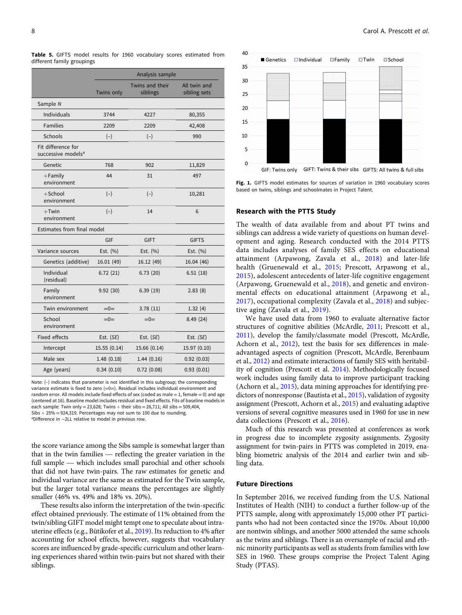|                                                      | Analysis sample |                             |                              |  |  |
|------------------------------------------------------|-----------------|-----------------------------|------------------------------|--|--|
|                                                      | Twins only      | Twins and their<br>siblings | All twin and<br>sibling sets |  |  |
| Sample N                                             |                 |                             |                              |  |  |
| Individuals                                          | 3744            | 4227                        | 80,355                       |  |  |
| Families                                             | 2209            | 2209                        | 42,408                       |  |  |
| Schools                                              | $(-)$           | $(-)$                       | 990                          |  |  |
| Fit difference for<br>successive models <sup>a</sup> |                 |                             |                              |  |  |
| Genetic                                              | 768             | 902                         | 11,829                       |  |  |
| $+$ Family<br>environment                            | 44              | 31                          | 497                          |  |  |
| $+$ School<br>environment                            | $(-)$           | $(-)$                       | 10,281                       |  |  |
| $+Twin$<br>environment                               | $(-)$           | 14                          | 6                            |  |  |
| Estimates from final model                           |                 |                             |                              |  |  |
|                                                      | GIF             | <b>GIFT</b>                 | <b>GIFTS</b>                 |  |  |
| Variance sources                                     | Est. (%)        | Est. (%)                    | Est. (%)                     |  |  |
| Genetics (additive)                                  | 16.01(49)       | 16.12 (49)                  | 16.04 (46)                   |  |  |
| Individual<br>(residual)                             | 6.72(21)        | 6.73(20)                    | 6.51(18)                     |  |  |
| Family<br>environment                                | 9.92(30)        | 6.39(19)                    | 2.83(8)                      |  |  |
| Twin environment                                     | $=0=$           | 3.78(11)                    | 1.32(4)                      |  |  |
| School<br>environment                                | $=0=$           | $=0=$                       | 8.49 (24)                    |  |  |
| <b>Fixed effects</b>                                 | Est. (SE)       | Est. $(SE)$                 | Est. $(SE)$                  |  |  |
| Intercept                                            | 15.55 (0.14)    | 15.66 (0.14)                | 15.97 (0.10)                 |  |  |
| Male sex                                             | 1.48(0.18)      | 1.44(0.16)                  | 0.92(0.03)                   |  |  |
| Age (years)                                          | 0.34(0.10)      | 0.72(0.08)                  | 0.93(0.01)                   |  |  |

<span id="page-9-0"></span>Table 5. GIFTS model results for 1960 vocabulary scores estimated from different family groupings

Note: (–) indicates that parameter is not identified in this subgroup; the corresponding variance estimate is fixed to zero  $(=0=1)$ . Residual includes individual environment and random error. All models include fixed effects of sex (coded as male  $= 1$ , female  $= 0$ ) and age (centered at 16). Baseline model includes residual and fixed effects. Fits of baseline models in each sample: Twin only = 23,628; Twins + their sibs = 26,711; All sibs = 509,404,  $Sibs + 25% = 924,319.$  Percentages may not sum to 100 due to rounding. Difference in −2LL relative to model in previous row.

the score variance among the Sibs sample is somewhat larger than the score variance among the Sibs sample is somewhat larger than<br>that in the twin families — reflecting the greater variation in the the score variance among the Sibs sample is somewhat larger than<br>that in the twin families — reflecting the greater variation in the<br>full sample — which includes small parochial and other schools that did not have twin-pairs. The raw estimates for genetic and individual variance are the same as estimated for the Twin sample, but the larger total variance means the percentages are slightly smaller (46% vs. 49% and 18% vs. 20%).

These results also inform the interpretation of the twin-specific effect obtained previously. The estimate of 11% obtained from the twin/sibling GIFT model might tempt one to speculate about intrauterine effects (e.g., Bütikofer et al., [2019\)](#page-10-0). Its reduction to 4% after accounting for school effects, however, suggests that vocabulary scores are influenced by grade-specific curriculum and other learning experiences shared within twin-pairs but not shared with their siblings.



Fig. 1. GIFTS model estimates for sources of variation in 1960 vocabulary scores based on twins, siblings and schoolmates in Project Talent.

### Research with the PTTS Study

The wealth of data available from and about PT twins and siblings can address a wide variety of questions on human development and aging. Research conducted with the 2014 PTTS data includes analyses of family SES effects on educational attainment (Arpawong, Zavala et al., [2018](#page-10-0)) and later-life health (Gruenewald et al., [2015](#page-10-0); Prescott, Arpawong et al., [2015](#page-11-0)), adolescent antecedents of later-life cognitive engagement (Arpawong, Gruenewald et al., [2018](#page-10-0)), and genetic and environmental effects on educational attainment (Arpawong et al., [2017](#page-10-0)), occupational complexity (Zavala et al., [2018\)](#page-11-0) and subjective aging (Zavala et al., [2019\)](#page-11-0).

We have used data from 1960 to evaluate alternative factor structures of cognitive abilities (McArdle, [2011;](#page-10-0) Prescott et al., [2011\)](#page-11-0), develop the family/classmate model (Prescott, McArdle, Achorn et al., [2012\)](#page-11-0), test the basis for sex differences in maleadvantaged aspects of cognition (Prescott, McArdle, Berenbaum et al., [2012\)](#page-11-0) and estimate interactions of family SES with heritability of cognition (Prescott et al. [2014](#page-11-0)). Methodologically focused work includes using family data to improve participant tracking (Achorn et al., [2015\)](#page-10-0), data mining approaches for identifying predictors of nonresponse (Bautista et al., [2015\)](#page-10-0), validation of zygosity assignment (Prescott, Achorn et al., [2015\)](#page-11-0) and evaluating adaptive versions of several cognitive measures used in 1960 for use in new data collections (Prescott et al., [2016\)](#page-11-0).

Much of this research was presented at conferences as work in progress due to incomplete zygosity assignments. Zygosity assignment for twin-pairs in PTTS was completed in 2019, enabling biometric analysis of the 2014 and earlier twin and sibling data.

#### Future Directions

In September 2016, we received funding from the U.S. National Institutes of Health (NIH) to conduct a further follow-up of the PTTS sample, along with approximately 15,000 other PT participants who had not been contacted since the 1970s. About 10,000 are nontwin siblings, and another 5000 attended the same schools as the twins and siblings. There is an oversample of racial and ethnic minority participants as well as students from families with low SES in 1960. These groups comprise the Project Talent Aging Study (PTAS).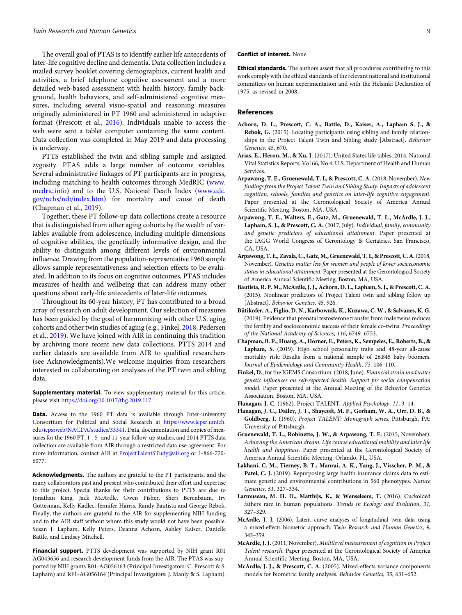<span id="page-10-0"></span>The overall goal of PTAS is to identify earlier life antecedents of later-life cognitive decline and dementia. Data collection includes a mailed survey booklet covering demographics, current health and activities, a brief telephone cognitive assessment and a more detailed web-based assessment with health history, family background, health behaviors, and self-administered cognitive measures, including several visuo-spatial and reasoning measures originally administered in PT 1960 and administered in adaptive format (Prescott et al., [2016](#page-11-0)). Individuals unable to access the web were sent a tablet computer containing the same content. Data collection was completed in May 2019 and data processing is underway.

PTTS established the twin and sibling sample and assigned zygosity. PTAS adds a large number of outcome variables. Several administrative linkages of PT participants are in progress, including matching to health outcomes through MedRIC ([www.](https://www.medric.info) [medric.info\)](https://www.medric.info) and to the U.S. National Death Index ([www.cdc.](https://www.cdc.gov/nchs/ndi/index.htm) [gov/nchs/ndi/index.htm\)](https://www.cdc.gov/nchs/ndi/index.htm) for mortality and cause of death (Chapman et al., 2019).

Together, these PT follow-up data collections create a resource that is distinguished from other aging cohorts by the wealth of variables available from adolescence, including multiple dimensions of cognitive abilities, the genetically informative design, and the ability to distinguish among different levels of environmental influence. Drawing from the population-representative 1960 sample allows sample representativeness and selection effects to be evaluated. In addition to its focus on cognitive outcomes, PTAS includes measures of health and wellbeing that can address many other questions about early-life antecedents of later-life outcomes.

Throughout its 60-year history, PT has contributed to a broad array of research on adult development. Our selection of measures has been guided by the goal of harmonizing with other U.S. aging cohorts and other twin studies of aging (e.g., Finkel, 2018; Pedersen et al., [2019](#page-11-0)). We have joined with AIR in continuing this tradition by archiving more recent new data collections. PTTS 2014 and earlier datasets are available from AIR to qualified researchers (see Acknowledgments).We welcome inquiries from researchers interested in collaborating on analyses of the PT twin and sibling data.

Supplementary material. To view supplementary material for this article, please visit <https://doi.org/10.1017/thg.2019.117>

Data. Access to the 1960 PT data is available through Inter-university Consortium for Political and Social Research at [https://www.icpsr.umich.](https://www.icpsr.umich.edu/icpsrweb/NACDA/studies/33341) [edu/icpsrweb/NACDA/studies/33341.](https://www.icpsr.umich.edu/icpsrweb/NACDA/studies/33341) Data, documentation and copies of measures for the 1960 PT, 1-, 5- and 11-year follow-up studies, and 2014 PTTS data collection are available from AIR through a restricted data use agreement. For more information, contact AIR at [ProjectTalentSTudy@air.org](mailto:ProjectTalentSTudy@air.org) or 1-866-770- 6077.

Acknowledgments. The authors are grateful to the PT participants, and the many collaborators past and present who contributed their effort and expertise to this project. Special thanks for their contributions to PTTS are due to Jonathan King, Jack McArdle, Gwen Fisher, Sheri Berenbaum, Irv Gottesman, Kelly Kadlec, Jennifer Harris, Randy Bautista and George Rebok. Finally, the authors are grateful to the AIR for supplementing NIH funding and to the AIR staff without whom this study would not have been possible: Susan J. Lapham, Kelly Peters, Deanna Achorn, Ashley Kaiser, Danielle Battle, and Lindsey Mitchell.

Financial support. PTTS development was supported by NIH grant R01 AG043656 and research development funds from the AIR. The PTAS was supported by NIH grants R01-AG056163 (Principal Investigators: C. Prescott & S. Lapham) and RF1-AG056164 (Principal Investigators: J. Manly & S. Lapham).

#### Conflict of interest. None.

Ethical standards. The authors assert that all procedures contributing to this work comply with the ethical standards of the relevant national and institutional committees on human experimentation and with the Helsinki Declaration of 1975, as revised in 2008.

#### References

- Achorn, D. L., Prescott, C. A., Battle, D., Kaiser, A., Lapham S. J., & Rebok, G. (2015). Locating participants using sibling and family relationships in the Project Talent Twin and Sibling study [Abstract]. Behavior Genetics, 45, 670.
- Arias, E., Heron, M., & Xu, J. (2017). United States life tables, 2014. National Vital Statistics Reports, Vol 66, No 4. U.S. Department of Health and Human Services.
- Arpawong, T. E., Gruenewald, T. L, & Prescott, C. A. (2018, November). New findings from the Project Talent Twin and Sibling Study: Impacts of adolescent cognition, schools, families and genetics on later-life cognitive engagement. Paper presented at the Gerontological Society of America Annual Scientific Meeting, Boston, MA, USA.
- Arpawong, T. E., Walters, E., Gatz, M., Gruenewald, T. L., McArdle, J. J., Lapham, S. J., & Prescott, C. A. (2017, July). Individual, family, community and genetic predictors of educational attainment. Paper presented at the IAGG World Congress of Gerontology & Geriatrics. San Francisco, CA, USA.
- Arpawong, T. E., Zavala, C., Gatz, M., Gruenewald, T. L, & Prescott, C. A.(2018, November). Genetics matter less for women and people of lower socioeconomic status in educational attainment. Paper presented at the Gerontological Society of America Annual Scientific Meeting, Boston, MA, USA.
- Bautista, R. P. M., McArdle, J. J., Achorn, D. L., Lapham, S. J., & Prescott, C. A. (2015). Nonlinear predictors of Project Talent twin and sibling follow up [Abstract]. Behavior Genetics, 45, 926.
- Bütikofer, A., Figlio, D. N., Karbownik, K., Kuzawa, C. W., & Salvanes, K. G. (2019). Evidence that prenatal testosterone transfer from male twins reduces the fertility and socioeconomic success of their female co-twins. Proceedings of the National Academy of Sciences, 116, 6749–6753.
- Chapman, B. P., Huang, A., Horner, E., Peters, K., Sempeles, E., Roberts, B., & Lapham, S. (2019). High school personality traits and 48-year all-cause mortality risk: Results from a national sample of 26,845 baby boomers. Journal of Epidemiology and Community Health, 73, 106–110.
- Finkel, D., for the IGEMS Consortium. (2018, June). Financial strain moderates genetic influences on self-reported health: Support for social compensation model. Paper presented at the Annual Meeting of the Behavior Genetics Association, Boston, MA, USA.

Flanagan, J. C. (1962). Project TALENT. Applied Psychology, 11, 3–14.

- Flanagan, J. C., Dailey, J. T., Shaycoft, M. F., Gorham, W. A., Orr, D. B., & Goldberg, I. (1960). Project TALENT: Monograph series. Pittsburgh, PA: University of Pittsburgh.
- Gruenewald, T. L., Robinette, J. W., & Arpawong, T. E. (2015, November). Achieving the American dream: Life course educational mobility and later life health and happiness. Paper presented at the Gerontological Society of America Annual Scientific Meeting, Orlando, FL, USA.
- Lakhani, C. M., Tierney, B. T., Manrai, A. K., Yang, J., Visscher, P. M., & Patel, C. J. (2019). Repurposing large health insurance claims data to estimate genetic and environmental contributions in 560 phenotypes. Nature Genetics, 51, 327–334.
- Larmuseau, M. H. D., Matthijs, K., & Wenseleers, T. (2016). Cuckolded fathers rare in human populations. Trends in Ecology and Evolution, 31, 327–329.
- McArdle, J. J. (2006). Latent curve analyses of longitudinal twin data using a mixed-effects biometric approach. Twin Research and Human Genetics, 9, 343–359.
- McArdle, J. J. (2011, November). Multilevel measurement of cognition in Project Talent research. Paper presented at the Gerontological Society of America Annual Scientific Meeting, Boston, MA, USA.
- McArdle, J. J., & Prescott, C. A. (2005). Mixed-effects variance components models for biometric family analyses. Behavior Genetics, 35, 631–652.